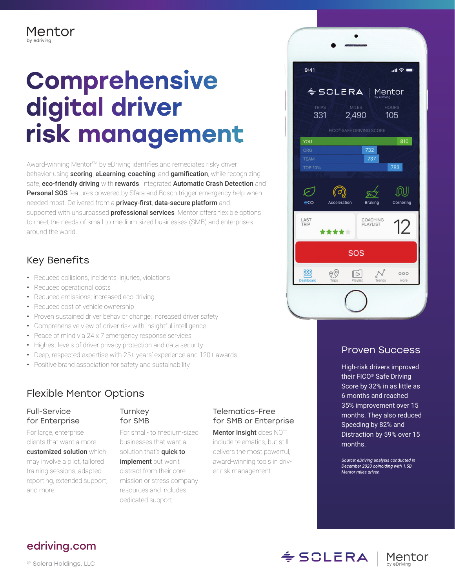# **Comprehensive** digital driver risk management

Award-winning Mentor<sup>sM</sup> by eDriving identifies and remediates risky driver behavior using **scoring, eLearning, coaching, and gamification**, while recognizing safe, eco-friendly driving with rewards. Integrated Automatic Crash Detection and **Personal SOS** features powered by Sfara and Bosch trigger emergency help when needed most. Delivered from a **privacy-first, data-secure platform** and supported with unsurpassed **professional services**, Mentor offers flexible options to meet the needs of small-to-medium sized businesses (SMB) and enterprises around the world.

# Key Benefits

- Reduced collisions, incidents, injuries, violations
- Reduced operational costs
- Reduced emissions; increased eco-driving
- Reduced cost of vehicle ownership
- Proven sustained driver behavior change; increased driver safety
- Comprehensive view of driver risk with insightful intelligence
- Peace of mind via 24 x 7 emergency response services
- Highest levels of driver privacy protection and data security
- Deep, respected expertise with 25+ years' experience and 120+ awards
- Positive brand association for safety and sustainability

# Flexible Mentor Options

# Full-Service for Enterprise

For large, enterprise clients that want a more customized solution which may involve a pilot, tailored training sessions, adapted reporting, extended support, and more!

# **Turnkey** for SMB

For small- to medium-sized businesses that want a solution that's quick to implement but won't distract from their core mission or stress company resources and includes dedicated support.

# Telematics-Free for SMB or Enterprise

Mentor Insight does NOT include telematics, but still delivers the most powerful, award-winning tools in driver risk management.



# Proven Success

High-risk drivers improved their FICO® Safe Driving Score by 32% in as little as 6 months and reached 35% improvement over 15 months. They also reduced Speeding by 82% and Distraction by 59% over 15 months.

*Source: eDriving analysis conducted in December 2020 coinciding with 1.5B Mentor miles driven.*

# [edriving.com](http://edriving.com)

© Solera Holdings, LLC

 $\leq$  SCLERA